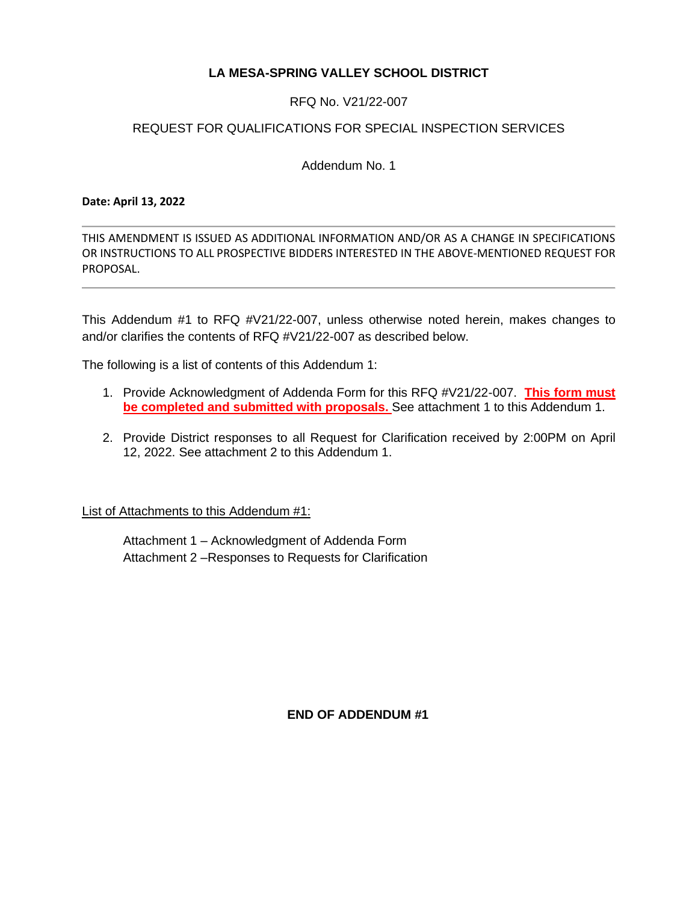# **LA MESA-SPRING VALLEY SCHOOL DISTRICT**

RFQ No. V21/22-007

## REQUEST FOR QUALIFICATIONS FOR SPECIAL INSPECTION SERVICES

Addendum No. 1

#### **Date: April 13, 2022**

THIS AMENDMENT IS ISSUED AS ADDITIONAL INFORMATION AND/OR AS A CHANGE IN SPECIFICATIONS OR INSTRUCTIONS TO ALL PROSPECTIVE BIDDERS INTERESTED IN THE ABOVE-MENTIONED REQUEST FOR PROPOSAL.

This Addendum #1 to RFQ #V21/22-007, unless otherwise noted herein, makes changes to and/or clarifies the contents of RFQ #V21/22-007 as described below.

The following is a list of contents of this Addendum 1:

- 1. Provide Acknowledgment of Addenda Form for this RFQ #V21/22-007. **This form must be completed and submitted with proposals.** See attachment 1 to this Addendum 1.
- 2. Provide District responses to all Request for Clarification received by 2:00PM on April 12, 2022. See attachment 2 to this Addendum 1.

List of Attachments to this Addendum #1:

Attachment 1 – Acknowledgment of Addenda Form Attachment 2 –Responses to Requests for Clarification

**END OF ADDENDUM #1**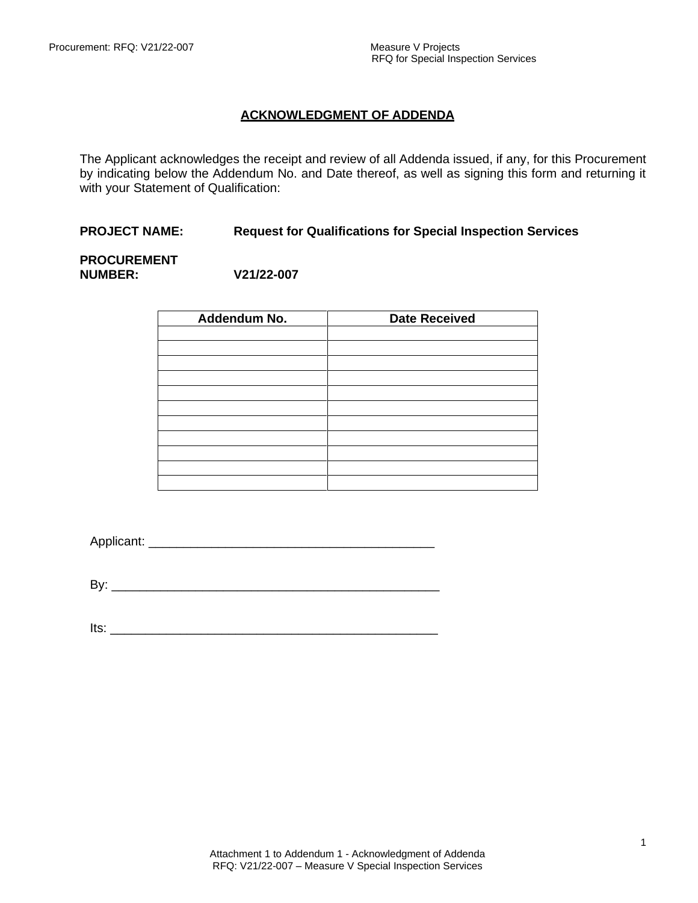## **ACKNOWLEDGMENT OF ADDENDA**

The Applicant acknowledges the receipt and review of all Addenda issued, if any, for this Procurement by indicating below the Addendum No. and Date thereof, as well as signing this form and returning it with your Statement of Qualification:

### **PROJECT NAME: Request for Qualifications for Special Inspection Services**

#### **PROCUREMENT NUMBER: V21/22-007**

| Addendum No. | <b>Date Received</b> |
|--------------|----------------------|
|              |                      |
|              |                      |
|              |                      |
|              |                      |
|              |                      |
|              |                      |
|              |                      |
|              |                      |
|              |                      |
|              |                      |
|              |                      |

Applicant: \_\_\_\_\_\_\_\_\_\_\_\_\_\_\_\_\_\_\_\_\_\_\_\_\_\_\_\_\_\_\_\_\_\_\_\_\_\_\_\_\_

By: \_\_\_\_\_\_\_\_\_\_\_\_\_\_\_\_\_\_\_\_\_\_\_\_\_\_\_\_\_\_\_\_\_\_\_\_\_\_\_\_\_\_\_\_\_\_\_

Its: \_\_\_\_\_\_\_\_\_\_\_\_\_\_\_\_\_\_\_\_\_\_\_\_\_\_\_\_\_\_\_\_\_\_\_\_\_\_\_\_\_\_\_\_\_\_\_